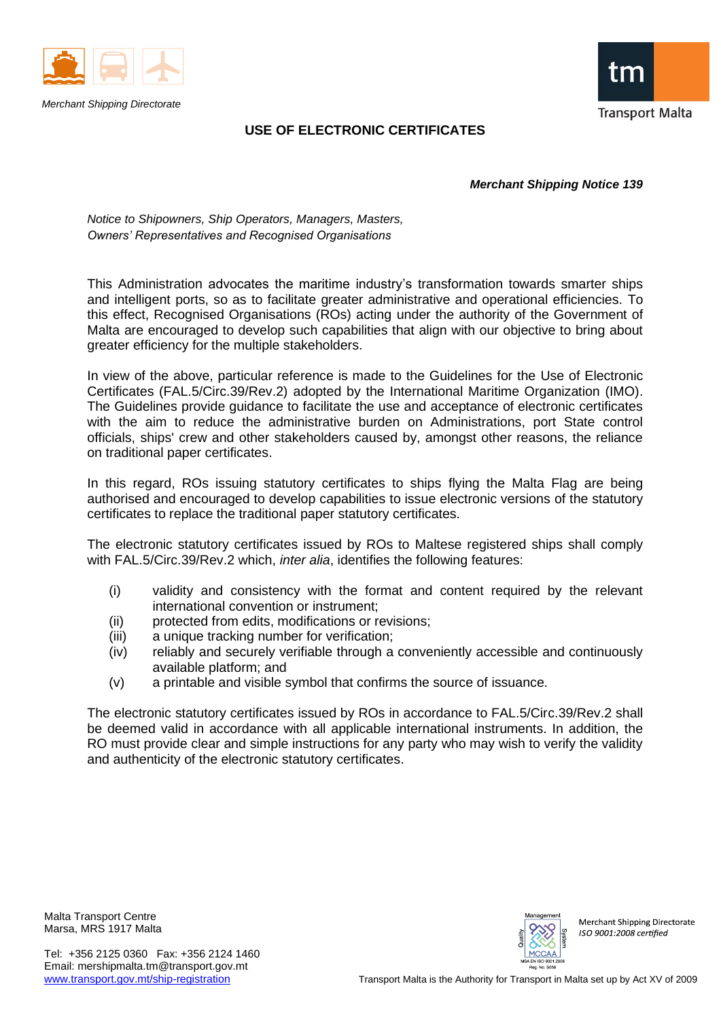

*Merchant Shipping Directorate*



## **USE OF ELECTRONIC CERTIFICATES**

*Merchant Shipping Notice 139*

*Notice to Shipowners, Ship Operators, Managers, Masters, Owners' Representatives and Recognised Organisations*

This Administration advocates the maritime industry's transformation towards smarter ships and intelligent ports, so as to facilitate greater administrative and operational efficiencies. To this effect, Recognised Organisations (ROs) acting under the authority of the Government of Malta are encouraged to develop such capabilities that align with our objective to bring about greater efficiency for the multiple stakeholders.

In view of the above, particular reference is made to the Guidelines for the Use of Electronic Certificates (FAL.5/Circ.39/Rev.2) adopted by the International Maritime Organization (IMO). The Guidelines provide guidance to facilitate the use and acceptance of electronic certificates with the aim to reduce the administrative burden on Administrations, port State control officials, ships' crew and other stakeholders caused by, amongst other reasons, the reliance on traditional paper certificates.

In this regard, ROs issuing statutory certificates to ships flying the Malta Flag are being authorised and encouraged to develop capabilities to issue electronic versions of the statutory certificates to replace the traditional paper statutory certificates.

The electronic statutory certificates issued by ROs to Maltese registered ships shall comply with FAL.5/Circ.39/Rev.2 which, *inter alia*, identifies the following features:

- (i) validity and consistency with the format and content required by the relevant international convention or instrument;
- (ii) protected from edits, modifications or revisions;
- (iii) a unique tracking number for verification;
- (iv) reliably and securely verifiable through a conveniently accessible and continuously available platform; and
- (v) a printable and visible symbol that confirms the source of issuance.

The electronic statutory certificates issued by ROs in accordance to FAL.5/Circ.39/Rev.2 shall be deemed valid in accordance with all applicable international instruments. In addition, the RO must provide clear and simple instructions for any party who may wish to verify the validity and authenticity of the electronic statutory certificates.

Malta Transport Centre Marsa, MRS 1917 Malta



Merchant Shipping Directorate ISO 9001:2008 certified

Tel: +356 2125 0360 Fax: +356 2124 1460 Email: mershipmalta.tm@transport.gov.mt